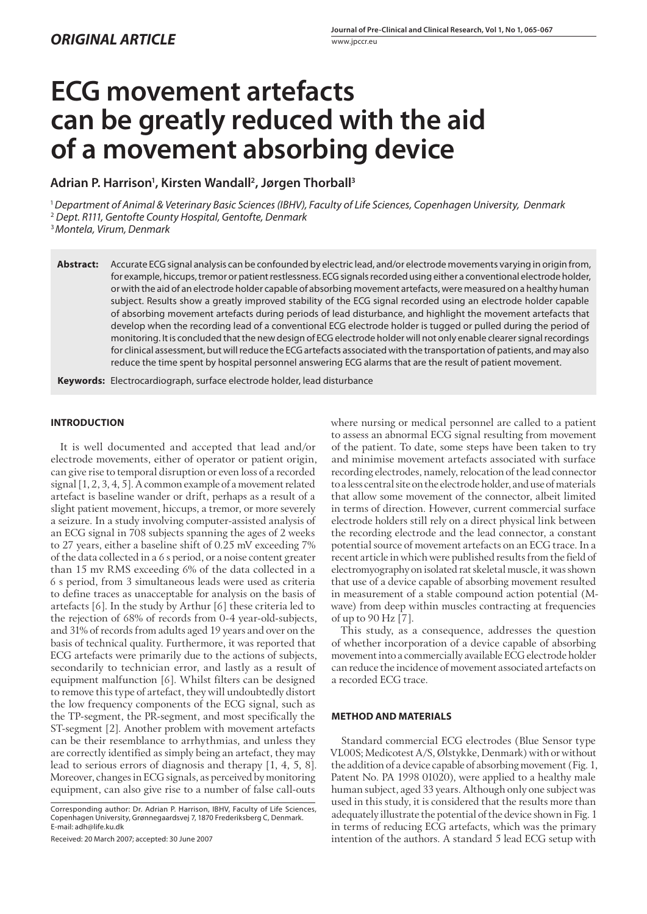# **ECG movement artefacts can be greatly reduced with the aid of a movement absorbing device**

Adrian P. Harrison<sup>1</sup>, Kirsten Wandall<sup>2</sup>, Jørgen Thorball<sup>3</sup>

<sup>1</sup>*Department of Animal & Veterinary Basic Sciences (IBHV), Faculty of Life Sciences, Copenhagen University, Denmark* 2  *Dept. R111, Gentofte County Hospital, Gentofte, Denmark*

<sup>3</sup>*Montela, Virum, Denmark*

**Abstract:** Accurate ECGsignal analysis can be confounded by electric lead, and/or electrode movements varying in origin from, for example, hiccups, tremor or patient restlessness. ECG signals recorded using either a conventional electrode holder, or with the aid of an electrode holder capable of absorbing movement artefacts, were measured on a healthy human subject. Results show a greatly improved stability of the ECG signal recorded using an electrode holder capable of absorbing movement artefacts during periods of lead disturbance, and highlight the movement artefacts that develop when the recording lead of a conventional ECG electrode holder is tugged or pulled during the period of monitoring. It is concluded that the new design of ECG electrode holder will not only enable clearer signal recordings for clinical assessment, but will reduce the ECG artefacts associated with the transportation of patients, and may also reduce the time spent by hospital personnel answering ECG alarms that are the result of patient movement.

Keywords: Electrocardiograph, surface electrode holder, lead disturbance

## **INTRODUCTION**

It is well documented and accepted that lead and/or electrode movements, either of operator or patient origin, can give rise to temporal disruption or even loss of a recorded signal [1, 2, 3, 4, 5]. A common example of a movement related artefact is baseline wander or drift, perhaps as a result of a slight patient movement, hiccups, a tremor, or more severely a seizure. In a study involving computer-assisted analysis of an ECG signal in 708 subjects spanning the ages of 2 weeks to 27 years, either a baseline shift of 0.25 mV exceeding 7% of the data collected in a 6 s period, or a noise content greater than 15 mv RMS exceeding 6% of the data collected in a 6 s period, from 3 simultaneous leads were used as criteria to define traces as unacceptable for analysis on the basis of artefacts [6]. In the study by Arthur [6] these criteria led to the rejection of 68% of records from 0-4 year-old-subjects, and 31% of records from adults aged 19 years and over on the basis of technical quality. Furthermore, it was reported that ECG artefacts were primarily due to the actions of subjects, secondarily to technician error, and lastly as a result of equipment malfunction [6]. Whilst filters can be designed to remove this type of artefact, they will undoubtedly distort the low frequency components of the ECG signal, such as the TP-segment, the PR-segment, and most specifically the ST-segment [2]. Another problem with movement artefacts can be their resemblance to arrhythmias, and unless they are correctly identified as simply being an artefact, they may lead to serious errors of diagnosis and therapy [1, 4, 5, 8]. Moreover, changes in ECG signals, as perceived by monitoring equipment, can also give rise to a number of false call-outs

Received: 20 March 2007; accepted: 30 June 2007

where nursing or medical personnel are called to a patient to assess an abnormal ECG signal resulting from movement of the patient. To date, some steps have been taken to try and minimise movement artefacts associated with surface recording electrodes, namely, relocation of the lead connector to a less central site on the electrode holder, and use of materials that allow some movement of the connector, albeit limited in terms of direction. However, current commercial surface electrode holders still rely on a direct physical link between the recording electrode and the lead connector, a constant potential source of movement artefacts on an ECG trace. In a recent article in which were published results from the field of electromyography on isolated rat skeletal muscle, it was shown that use of a device capable of absorbing movement resulted in measurement of a stable compound action potential (Mwave) from deep within muscles contracting at frequencies of up to 90 Hz [7].

This study, as a consequence, addresses the question of whether incorporation of a device capable of absorbing movement into a commercially available ECG electrode holder can reduce the incidence of movement associated artefacts on a recorded ECG trace.

#### **METHOD AND MATERIALS**

Standard commercial ECG electrodes (Blue Sensor type VL00S; Medicotest A/S, Ølstykke, Denmark) with or without the addition of a device capable of absorbing movement (Fig. 1, Patent No. PA 1998 01020), were applied to a healthy male human subject, aged 33 years. Although only one subject was used in this study, it is considered that the results more than adequately illustrate the potential of the device shown in Fig. 1 in terms of reducing ECG artefacts, which was the primary intention of the authors. A standard 5 lead ECG setup with

Corresponding author: Dr. Adrian P. Harrison, IBHV, Faculty of Life Sciences, Copenhagen University, Grønnegaardsvej 7, 1870 Frederiksberg C, Denmark. E-mail: adh@life.ku.dk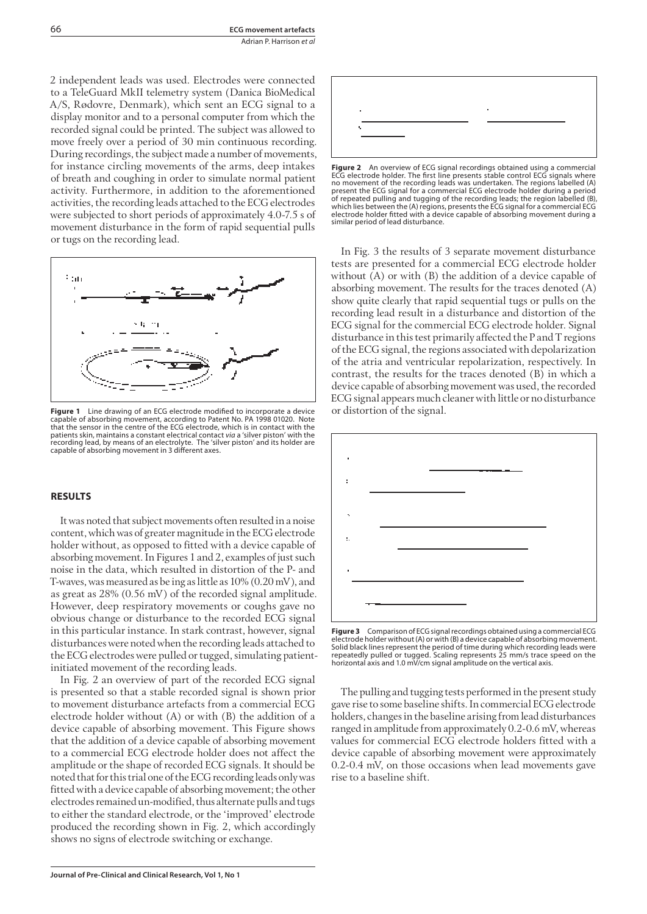2 independent leads was used. Electrodes were connected to a TeleGuard MkII telemetry system (Danica BioMedical A/S, Rødovre, Denmark), which sent an ECG signal to a display monitor and to a personal computer from which the recorded signal could be printed. The subject was allowed to move freely over a period of 30 min continuous recording. During recordings, the subject made a number of movements, for instance circling movements of the arms, deep intakes of breath and coughing in order to simulate normal patient activity. Furthermore, in addition to the aforementioned activities, the recording leads attached to the ECG electrodes were subjected to short periods of approximately 4.0-7.5 s of movement disturbance in the form of rapid sequential pulls or tugs on the recording lead.



**Figure 1** Line drawing of an ECG electrode modified to incorporate a device capable of absorbing movement, according to Patent No. PA 1998 01020. Note that the sensor in the centre of the ECG electrode, which is in contact with the patients skin, maintains a constant electrical contact *via* a 'silver piston' with the<br>recording lead, by means of an electrolyte. The 'silver piston' and its holder are<br>capable of absorbing movement in 3 different axes.

## **RESULTS**

It was noted that subject movements often resulted in a noise content, which was of greater magnitude in the ECG electrode holder without, as opposed to fitted with a device capable of absorbing movement. In Figures 1 and 2, examples of just such noise in the data, which resulted in distortion of the P- and T-waves, was measured as be ing as little as 10% (0.20 mV), and as great as 28% (0.56 mV) of the recorded signal amplitude. However, deep respiratory movements or coughs gave no obvious change or disturbance to the recorded ECG signal in this particular instance. In stark contrast, however, signal disturbances were noted when the recording leads attached to the ECG electrodes were pulled or tugged, simulating patientinitiated movement of the recording leads.

In Fig. 2 an overview of part of the recorded ECG signal is presented so that a stable recorded signal is shown prior to movement disturbance artefacts from a commercial ECG electrode holder without (A) or with (B) the addition of a device capable of absorbing movement. This Figure shows that the addition of a device capable of absorbing movement to a commercial ECG electrode holder does not affect the amplitude or the shape of recorded ECG signals. It should be noted that for this trial one of the ECG recording leads only was fitted with a device capable of absorbing movement; the other electrodes remained un-modified, thus alternate pulls and tugs to either the standard electrode, or the 'improved' electrode produced the recording shown in Fig. 2, which accordingly shows no signs of electrode switching or exchange.



**Figure 2** An overview of ECG signal recordings obtained using a commercial ECG electrode holder. The first line presents stable control ECG signals where no movement of the recording leads was undertaken. The regions labelled (A) present the ECG signal for a commercial ECG electrode holder during a period of repeated pulling and tugging of the recording leads; the region labelled (B), which lies between the (A) regions, presentsthe ECG signal for a commercial ECG electrode holder fitted with a device capable of absorbing movement during a similar period of lead disturbance.

In Fig. 3 the results of 3 separate movement disturbance tests are presented for a commercial ECG electrode holder without (A) or with (B) the addition of a device capable of absorbing movement. The results for the traces denoted (A) show quite clearly that rapid sequential tugs or pulls on the recording lead result in a disturbance and distortion of the ECG signal for the commercial ECG electrode holder. Signal disturbance in this test primarily affected the P and T regions of the ECG signal, the regions associated with depolarization of the atria and ventricular repolarization, respectively. In contrast, the results for the traces denoted (B) in which a device capable of absorbing movement was used, the recorded ECG signal appears much cleaner with little or no disturbance or distortion of the signal.



**Figure 3** Comparison of ECGsignalrecordings obtained using a commercial ECG electrode holder without(A) or with (B) a device capable of absorbing movement. Solid black lines represent the period of time during which recording leads were repeatedly pulled or tugged. Scaling represents 25 mm/s trace speed on the horizontal axis and 1.0 mV/cm signal amplitude on the vertical axis.

The pulling and tugging tests performed in the present study gave rise to some baseline shifts. In commercial ECG electrode holders, changes in the baseline arising from lead disturbances ranged in amplitude from approximately 0.2-0.6 mV, whereas values for commercial ECG electrode holders fitted with a device capable of absorbing movement were approximately 0.2-0.4 mV, on those occasions when lead movements gave rise to a baseline shift.